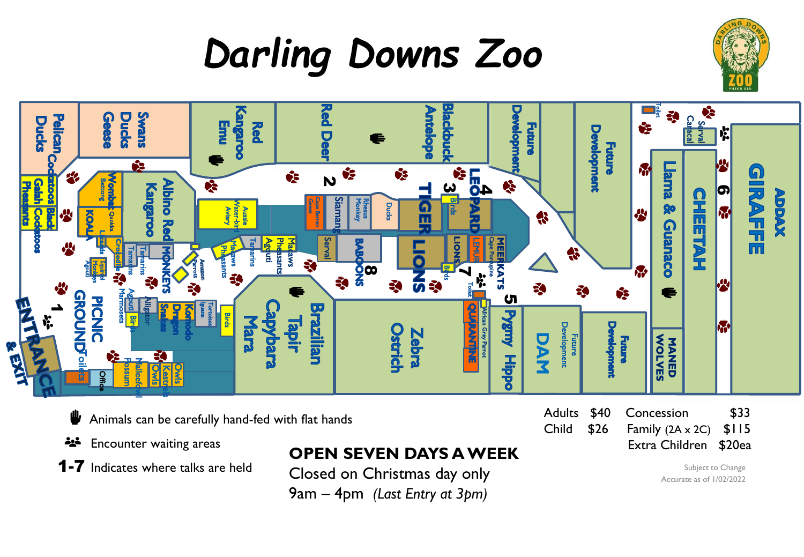



- ⋓ Animals can be carefully hand-fed with flat hands
- Encounter waiting areas 소스
- **1-7** Indicates where talks are held

## **OPEN SEVEN DAYS A WEEK**

Closed on Christmas day only 9am – 4pm *(Last Entry at 3pm)*

Child  $$26$  Family ( $2A \times 2C$ )  $$115$ Extra Children \$20ea

Subject to Change Accurate as of 1/02/2022